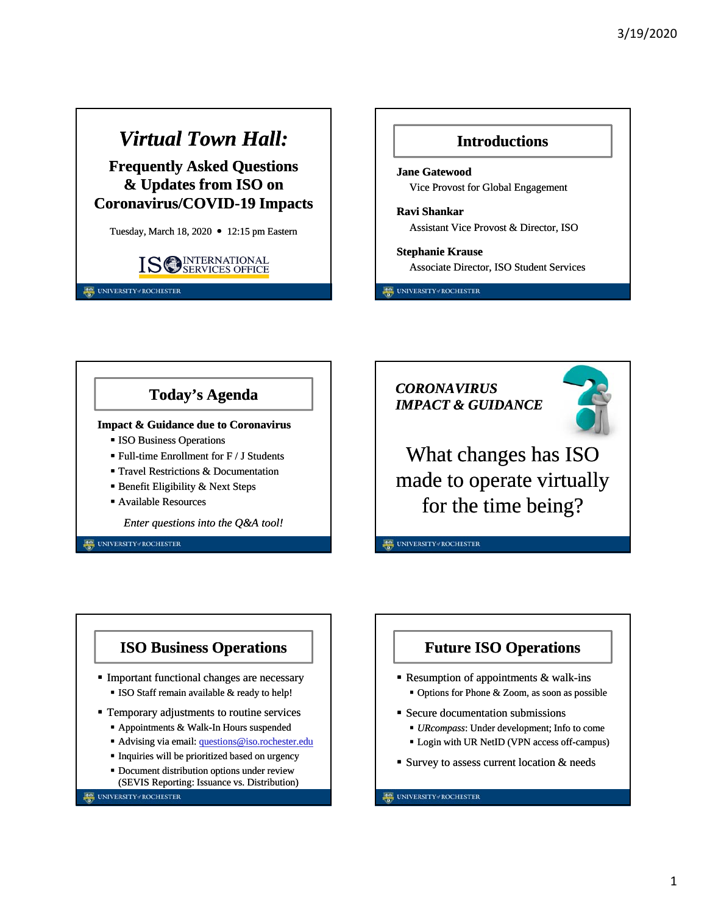## *Virtual Town Hall:*

**Frequently Asked Questions & Updates from ISO on Coronavirus/COVID-19 Impacts**

Tuesday, March 18, 2020 • 12:15 pm Eastern



UNIVERSITY#ROCHESTER

### **Introductions**

**Jane Gatewood** Vice Provost for Global Engagement

**Ravi Shankar** Assistant Vice Provost & Director, ISO

**Stephanie Krause** Associate Director, ISO Student Services

UNIVERSITY#ROCHESTER

## **Today's Agenda**

#### **Impact & Guidance due to Coronavirus**

- **ISO Business Operations**
- Full-time Enrollment for F / J Students
- **Travel Restrictions & Documentation**
- **Benefit Eligibility & Next Steps**
- Available Resources

*Enter questions into the Q&A tool!*

**ISO Business Operations**

 Important functional changes are necessary **ISO Staff remain available & ready to help!**  Temporary adjustments to routine services Appointments & Walk-In Hours suspended Advising via email: questions@iso.rochester.edu Inquiries will be prioritized based on urgency Document distribution options under review (SEVIS Reporting: Issuance vs. Distribution)

UNIVERSITY#ROCHESTER

UNIVERSITY+/ROCHESTER

*CORONAVIRUS IMPACT & GUIDANCE*



What changes has ISO made to operate virtually for the time being?

**DE UNIVERSITY / ROCHESTER** 

## **Future ISO Operations**

- Resumption of appointments  $&$  walk-ins Options for Phone & Zoom, as soon as possible
- Secure documentation submissions
	- *URcompass*: Under development; Info to come
	- Login with UR NetID (VPN access off-campus)
- **Survey to assess current location & needs**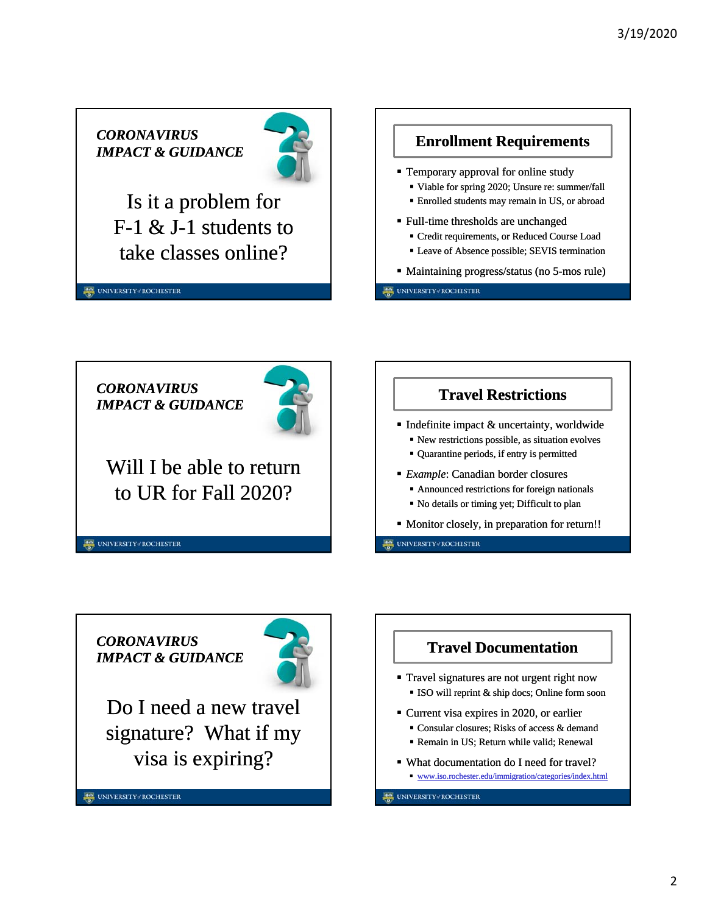*CORONAVIRUS IMPACT & GUIDANCE*



Is it a problem for F-1 & J-1 students to take classes online?

UNIVERSITY#ROCHESTER



*CORONAVIRUS IMPACT & GUIDANCE* Will I be able to return to UR for Fall 2020? UNIVERSITY#ROCHESTER



UNIVERSITY#ROCHESTER

*CORONAVIRUS IMPACT & GUIDANCE*

UNIVERSITY#ROCHESTER



Do I need a new travel signature? What if my visa is expiring?

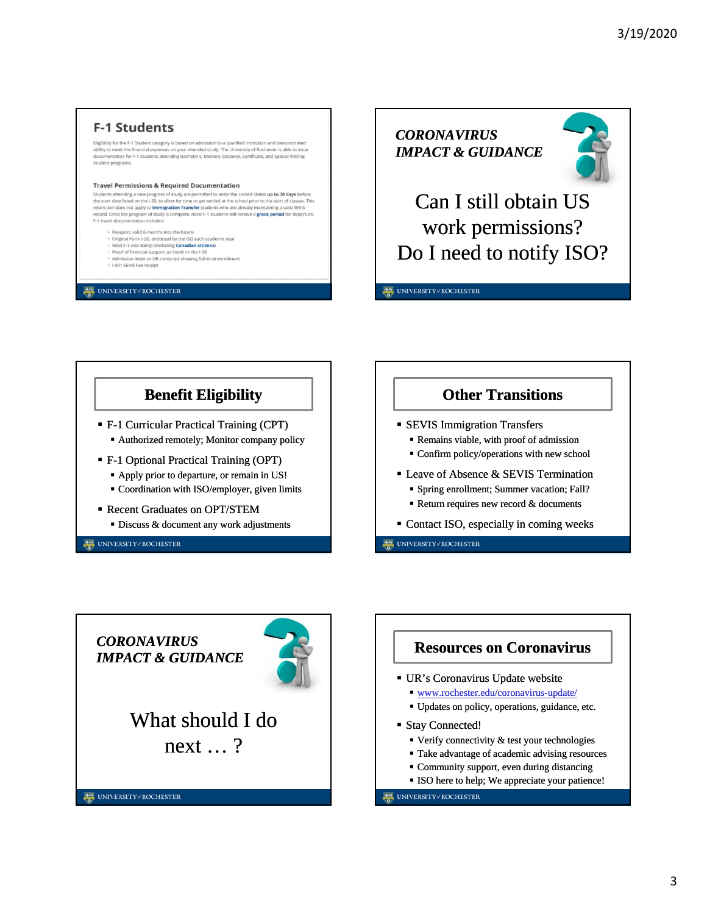## **F-1 Students**

Eligibility for the F-1 Student category is based on admission to a qualified institution and demonstrated<br>ability to meet the financial expenses on your intended study. The University of Rochester is able to issue<br>documen Student programs

#### **Travel Permissions & Required Documentation**

Students attending a new program of study are permitted to enter the United States up to 30 days before<br>the start date listed on the 1-20, to allow for time to get settled at the school prior to the start of dasses. This<br> es. This F-1 travel documentation includes:

- Passport, valid 6 months into the future
- · Original Form I-20, endorsed by the ISO each academic year
- wing full-time enrollment
- Visited F-1 visa stamp (excluding **Canadian citizens)**<br>- Proof of financial support, as listed on the I-20<br>- Admission letter or UR transcript showing full-time<br>- I-901 SEVIS Fee receipt

UNIVERSITY#ROCHESTER

*CORONAVIRUS IMPACT & GUIDANCE*



Can I still obtain US work permissions? Do I need to notify ISO?

UNIVERSITY / ROCHESTER

## **Benefit Eligibility**

- F-1 Curricular Practical Training (CPT)
	- Authorized remotely; Monitor company policy
- F-1 Optional Practical Training (OPT)
	- Apply prior to departure, or remain in US!
	- Coordination with ISO/employer, given limits
- Recent Graduates on OPT/STEM
	- Discuss & document any work adjustments

UNIVERSITY#ROCHESTER

## **Other Transitions**

- **SEVIS Immigration Transfers** 
	- Remains viable, with proof of admission
	- Confirm policy/operations with new school
- **Leave of Absence & SEVIS Termination**  Spring enrollment; Summer vacation; Fall?
	- Return requires new record  $&$  documents
- Contact ISO, especially in coming weeks

UNIVERSITY#ROCHESTER